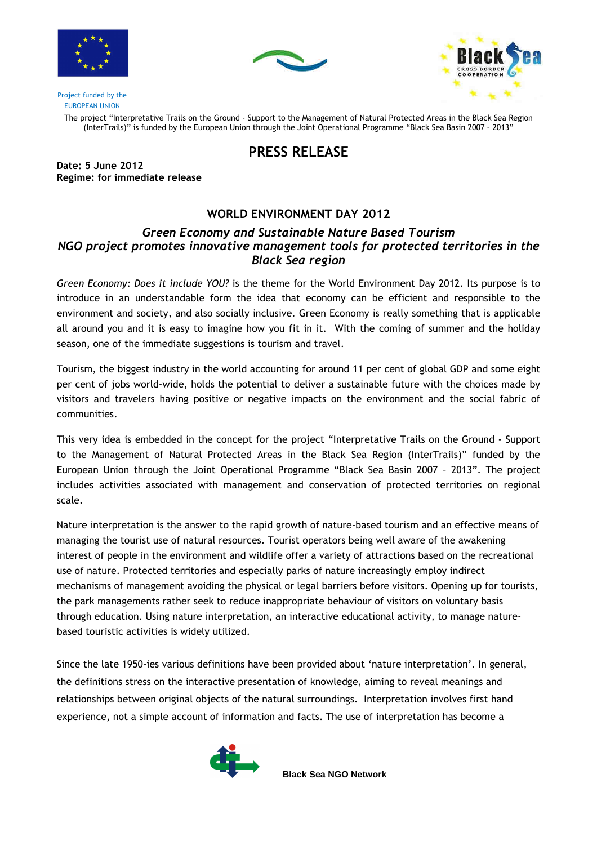





Project funded by the EUROPEAN UNION

> The project "Interpretative Trails on the Ground - Support to the Management of Natural Protected Areas in the Black Sea Region (InterTrails)" is funded by the European Union through the Joint Operational Programme "Black Sea Basin 2007 – 2013"

## PRESS RELEASE

Date: 5 June 2012 Regime: for immediate release

## WORLD ENVIRONMENT DAY 2012

## Green Economy and Sustainable Nature Based Tourism NGO project promotes innovative management tools for protected territories in the Black Sea region

Green Economy: Does it include YOU? is the theme for the World Environment Day 2012. Its purpose is to introduce in an understandable form the idea that economy can be efficient and responsible to the environment and society, and also socially inclusive. Green Economy is really something that is applicable all around you and it is easy to imagine how you fit in it. With the coming of summer and the holiday season, one of the immediate suggestions is tourism and travel.

Tourism, the biggest industry in the world accounting for around 11 per cent of global GDP and some eight per cent of jobs world-wide, holds the potential to deliver a sustainable future with the choices made by visitors and travelers having positive or negative impacts on the environment and the social fabric of communities.

This very idea is embedded in the concept for the project "Interpretative Trails on the Ground - Support to the Management of Natural Protected Areas in the Black Sea Region (InterTrails)" funded by the European Union through the Joint Operational Programme "Black Sea Basin 2007 – 2013". The project includes activities associated with management and conservation of protected territories on regional scale.

Nature interpretation is the answer to the rapid growth of nature-based tourism and an effective means of managing the tourist use of natural resources. Tourist operators being well aware of the awakening interest of people in the environment and wildlife offer a variety of attractions based on the recreational use of nature. Protected territories and especially parks of nature increasingly employ indirect mechanisms of management avoiding the physical or legal barriers before visitors. Opening up for tourists, the park managements rather seek to reduce inappropriate behaviour of visitors on voluntary basis through education. Using nature interpretation, an interactive educational activity, to manage naturebased touristic activities is widely utilized.

Since the late 1950-ies various definitions have been provided about 'nature interpretation'. In general, the definitions stress on the interactive presentation of knowledge, aiming to reveal meanings and relationships between original objects of the natural surroundings. Interpretation involves first hand experience, not a simple account of information and facts. The use of interpretation has become a



**Black Sea NGO Network**